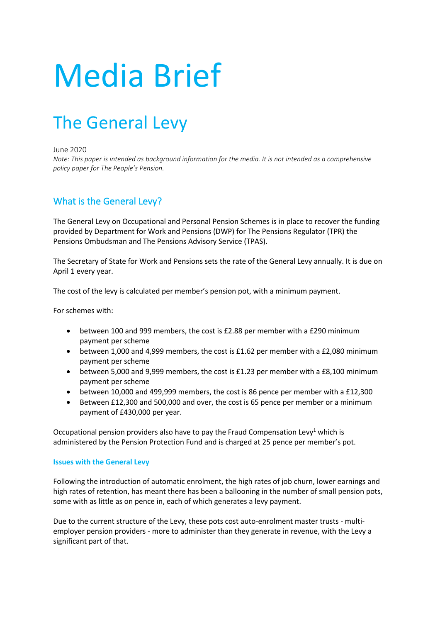# Media Brief

# The General Levy

June 2020

*Note: This paper is intended as background information for the media. It is not intended as a comprehensive policy paper for The People's Pension.*

## What is the General Levy?

The General Levy on Occupational and Personal Pension Schemes is in place to recover the funding provided by Department for Work and Pensions (DWP) for The Pensions Regulator (TPR) the Pensions Ombudsman and The Pensions Advisory Service (TPAS).

The Secretary of State for Work and Pensions sets the rate of the General Levy annually. It is due on April 1 every year.

The cost of the levy is calculated per member's pension pot, with a minimum payment.

For schemes with:

- between 100 and 999 members, the cost is £2.88 per member with a £290 minimum payment per scheme
- between 1,000 and 4,999 members, the cost is £1.62 per member with a £2,080 minimum payment per scheme
- between 5,000 and 9,999 members, the cost is £1.23 per member with a £8,100 minimum payment per scheme
- between 10,000 and 499,999 members, the cost is 86 pence per member with a £12,300
- Between £12,300 and 500,000 and over, the cost is 65 pence per member or a minimum payment of £430,000 per year.

Occupational pension providers also have to pay the Fraud Compensation Levy<sup>1</sup> which is administered by the Pension Protection Fund and is charged at 25 pence per member's pot.

#### **Issues with the General Levy**

Following the introduction of automatic enrolment, the high rates of job churn, lower earnings and high rates of retention, has meant there has been a ballooning in the number of small pension pots, some with as little as on pence in, each of which generates a levy payment.

Due to the current structure of the Levy, these pots cost auto-enrolment master trusts - multiemployer pension providers - more to administer than they generate in revenue, with the Levy a significant part of that.